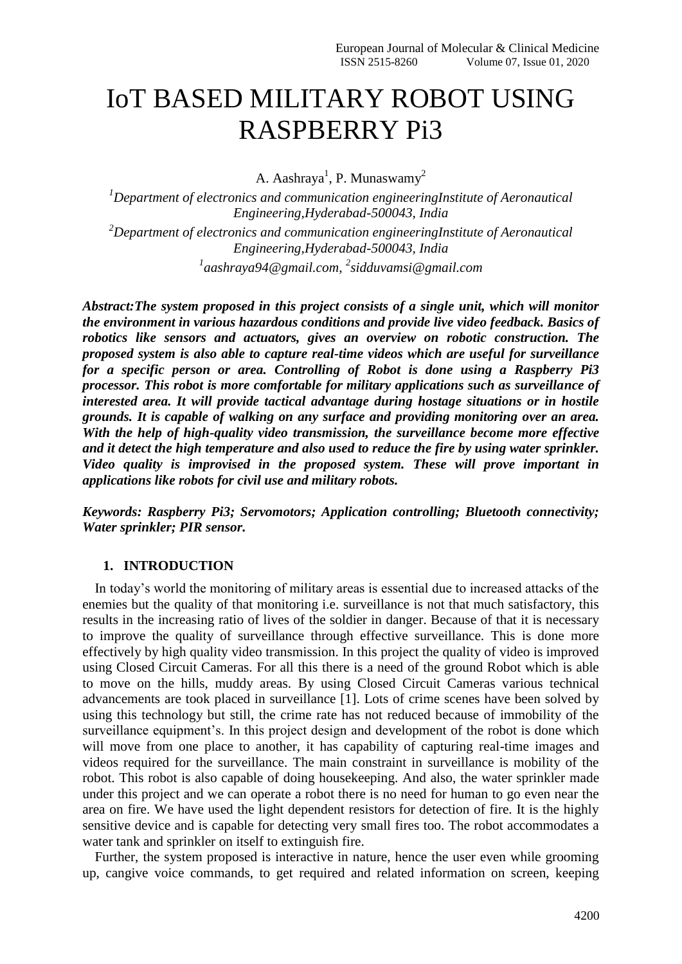# IoT BASED MILITARY ROBOT USING RASPBERRY Pi3

A. Aashraya<sup>1</sup>, P. Munaswamy<sup>2</sup>

*<sup>1</sup>Department of electronics and communication engineeringInstitute of Aeronautical Engineering,Hyderabad-500043, India <sup>2</sup>Department of electronics and communication engineeringInstitute of Aeronautical Engineering,Hyderabad-500043, India 1 aashraya94@gmail.com, 2 [sidduvamsi@gmail.com](mailto:sidduvamsi@gmail.com)*

*Abstract:The system proposed in this project consists of a single unit, which will monitor the environment in various hazardous conditions and provide live video feedback. Basics of robotics like sensors and actuators, gives an overview on robotic construction. The proposed system is also able to capture real-time videos which are useful for surveillance for a specific person or area. Controlling of Robot is done using a Raspberry Pi3 processor. This robot is more comfortable for military applications such as surveillance of interested area. It will provide tactical advantage during hostage situations or in hostile grounds. It is capable of walking on any surface and providing monitoring over an area. With the help of high-quality video transmission, the surveillance become more effective and it detect the high temperature and also used to reduce the fire by using water sprinkler. Video quality is improvised in the proposed system. These will prove important in applications like robots for civil use and military robots.*

*Keywords: Raspberry Pi3; Servomotors; Application controlling; Bluetooth connectivity; Water sprinkler; PIR sensor.*

## **1. INTRODUCTION**

In today's world the monitoring of military areas is essential due to increased attacks of the enemies but the quality of that monitoring i.e. surveillance is not that much satisfactory, this results in the increasing ratio of lives of the soldier in danger. Because of that it is necessary to improve the quality of surveillance through effective surveillance. This is done more effectively by high quality video transmission. In this project the quality of video is improved using Closed Circuit Cameras. For all this there is a need of the ground Robot which is able to move on the hills, muddy areas. By using Closed Circuit Cameras various technical advancements are took placed in surveillance [1]. Lots of crime scenes have been solved by using this technology but still, the crime rate has not reduced because of immobility of the surveillance equipment's. In this project design and development of the robot is done which will move from one place to another, it has capability of capturing real-time images and videos required for the surveillance. The main constraint in surveillance is mobility of the robot. This robot is also capable of doing housekeeping. And also, the water sprinkler made under this project and we can operate a robot there is no need for human to go even near the area on fire. We have used the light dependent resistors for detection of fire. It is the highly sensitive device and is capable for detecting very small fires too. The robot accommodates a water tank and sprinkler on itself to extinguish fire.

Further, the system proposed is interactive in nature, hence the user even while grooming up, cangive voice commands, to get required and related information on screen, keeping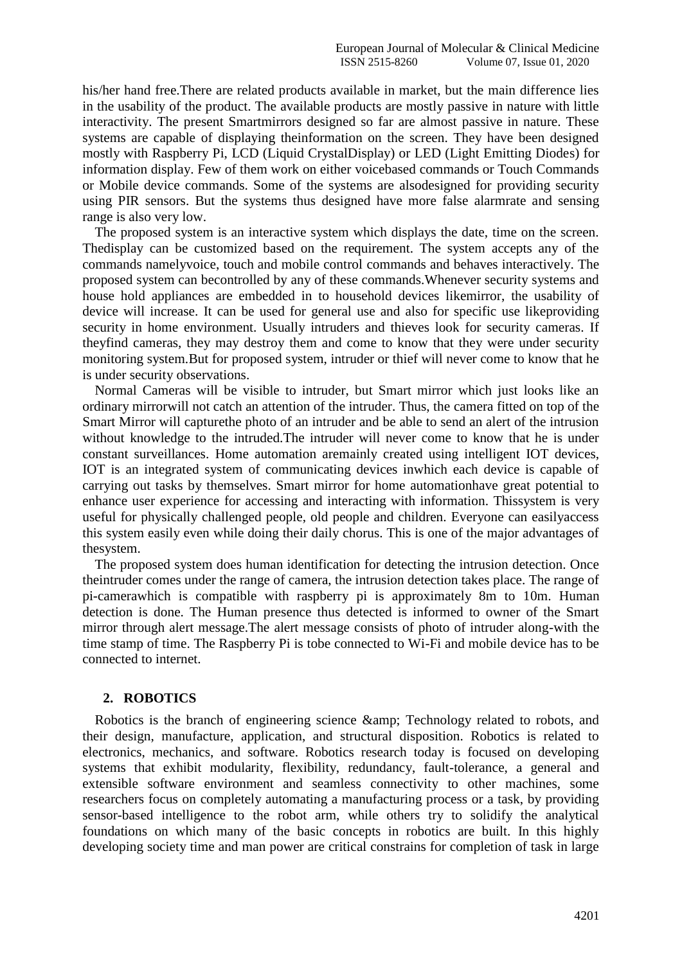his/her hand free.There are related products available in market, but the main difference lies in the usability of the product. The available products are mostly passive in nature with little interactivity. The present Smartmirrors designed so far are almost passive in nature. These systems are capable of displaying theinformation on the screen. They have been designed mostly with Raspberry Pi, LCD (Liquid CrystalDisplay) or LED (Light Emitting Diodes) for information display. Few of them work on either voicebased commands or Touch Commands or Mobile device commands. Some of the systems are alsodesigned for providing security using PIR sensors. But the systems thus designed have more false alarmrate and sensing range is also very low.

The proposed system is an interactive system which displays the date, time on the screen. Thedisplay can be customized based on the requirement. The system accepts any of the commands namelyvoice, touch and mobile control commands and behaves interactively. The proposed system can becontrolled by any of these commands.Whenever security systems and house hold appliances are embedded in to household devices likemirror, the usability of device will increase. It can be used for general use and also for specific use likeproviding security in home environment. Usually intruders and thieves look for security cameras. If theyfind cameras, they may destroy them and come to know that they were under security monitoring system.But for proposed system, intruder or thief will never come to know that he is under security observations.

Normal Cameras will be visible to intruder, but Smart mirror which just looks like an ordinary mirrorwill not catch an attention of the intruder. Thus, the camera fitted on top of the Smart Mirror will capturethe photo of an intruder and be able to send an alert of the intrusion without knowledge to the intruded.The intruder will never come to know that he is under constant surveillances. Home automation aremainly created using intelligent IOT devices, IOT is an integrated system of communicating devices inwhich each device is capable of carrying out tasks by themselves. Smart mirror for home automationhave great potential to enhance user experience for accessing and interacting with information. Thissystem is very useful for physically challenged people, old people and children. Everyone can easilyaccess this system easily even while doing their daily chorus. This is one of the major advantages of thesystem.

The proposed system does human identification for detecting the intrusion detection. Once theintruder comes under the range of camera, the intrusion detection takes place. The range of pi-camerawhich is compatible with raspberry pi is approximately 8m to 10m. Human detection is done. The Human presence thus detected is informed to owner of the Smart mirror through alert message.The alert message consists of photo of intruder along-with the time stamp of time. The Raspberry Pi is tobe connected to Wi-Fi and mobile device has to be connected to internet.

#### **2. ROBOTICS**

Robotics is the branch of engineering science & amp; Technology related to robots, and their design, manufacture, application, and structural disposition. Robotics is related to electronics, mechanics, and software. Robotics research today is focused on developing systems that exhibit modularity, flexibility, redundancy, fault-tolerance, a general and extensible software environment and seamless connectivity to other machines, some researchers focus on completely automating a manufacturing process or a task, by providing sensor-based intelligence to the robot arm, while others try to solidify the analytical foundations on which many of the basic concepts in robotics are built. In this highly developing society time and man power are critical constrains for completion of task in large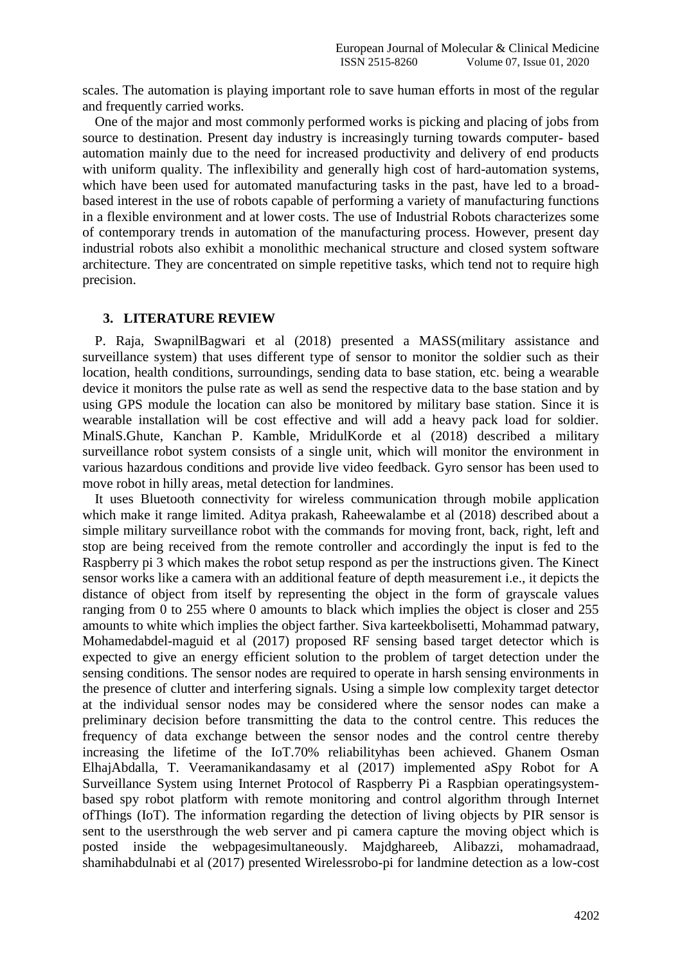scales. The automation is playing important role to save human efforts in most of the regular and frequently carried works.

One of the major and most commonly performed works is picking and placing of jobs from source to destination. Present day industry is increasingly turning towards computer- based automation mainly due to the need for increased productivity and delivery of end products with uniform quality. The inflexibility and generally high cost of hard-automation systems, which have been used for automated manufacturing tasks in the past, have led to a broadbased interest in the use of robots capable of performing a variety of manufacturing functions in a flexible environment and at lower costs. The use of Industrial Robots characterizes some of contemporary trends in automation of the manufacturing process. However, present day industrial robots also exhibit a monolithic mechanical structure and closed system software architecture. They are concentrated on simple repetitive tasks, which tend not to require high precision.

#### **3. LITERATURE REVIEW**

P. Raja, SwapnilBagwari et al (2018) presented a MASS(military assistance and surveillance system) that uses different type of sensor to monitor the soldier such as their location, health conditions, surroundings, sending data to base station, etc. being a wearable device it monitors the pulse rate as well as send the respective data to the base station and by using GPS module the location can also be monitored by military base station. Since it is wearable installation will be cost effective and will add a heavy pack load for soldier. MinalS.Ghute, Kanchan P. Kamble, MridulKorde et al (2018) described a military surveillance robot system consists of a single unit, which will monitor the environment in various hazardous conditions and provide live video feedback. Gyro sensor has been used to move robot in hilly areas, metal detection for landmines.

It uses Bluetooth connectivity for wireless communication through mobile application which make it range limited. Aditya prakash, Raheewalambe et al (2018) described about a simple military surveillance robot with the commands for moving front, back, right, left and stop are being received from the remote controller and accordingly the input is fed to the Raspberry pi 3 which makes the robot setup respond as per the instructions given. The Kinect sensor works like a camera with an additional feature of depth measurement i.e., it depicts the distance of object from itself by representing the object in the form of grayscale values ranging from 0 to 255 where 0 amounts to black which implies the object is closer and 255 amounts to white which implies the object farther. Siva karteekbolisetti, Mohammad patwary, Mohamedabdel-maguid et al (2017) proposed RF sensing based target detector which is expected to give an energy efficient solution to the problem of target detection under the sensing conditions. The sensor nodes are required to operate in harsh sensing environments in the presence of clutter and interfering signals. Using a simple low complexity target detector at the individual sensor nodes may be considered where the sensor nodes can make a preliminary decision before transmitting the data to the control centre. This reduces the frequency of data exchange between the sensor nodes and the control centre thereby increasing the lifetime of the IoT.70% reliabilityhas been achieved. Ghanem Osman ElhajAbdalla, T. Veeramanikandasamy et al (2017) implemented aSpy Robot for A Surveillance System using Internet Protocol of Raspberry Pi a Raspbian operatingsystembased spy robot platform with remote monitoring and control algorithm through Internet ofThings (IoT). The information regarding the detection of living objects by PIR sensor is sent to the usersthrough the web server and pi camera capture the moving object which is posted inside the webpagesimultaneously. Majdghareeb, Alibazzi, mohamadraad, shamihabdulnabi et al (2017) presented Wirelessrobo-pi for landmine detection as a low-cost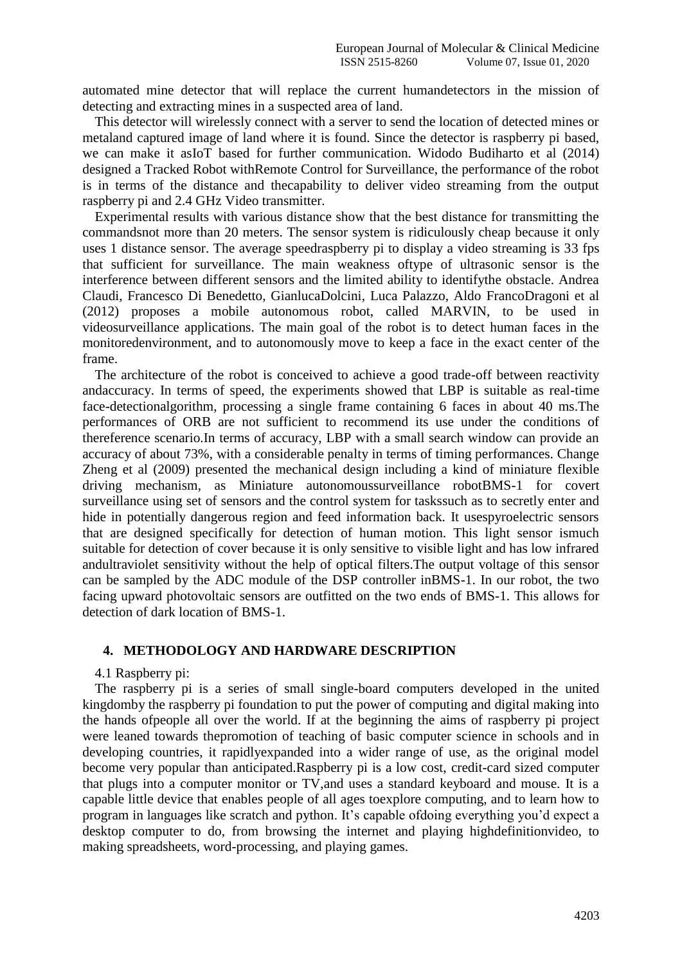automated mine detector that will replace the current humandetectors in the mission of detecting and extracting mines in a suspected area of land.

This detector will wirelessly connect with a server to send the location of detected mines or metaland captured image of land where it is found. Since the detector is raspberry pi based, we can make it asIoT based for further communication. Widodo Budiharto et al (2014) designed a Tracked Robot withRemote Control for Surveillance, the performance of the robot is in terms of the distance and thecapability to deliver video streaming from the output raspberry pi and 2.4 GHz Video transmitter.

Experimental results with various distance show that the best distance for transmitting the commandsnot more than 20 meters. The sensor system is ridiculously cheap because it only uses 1 distance sensor. The average speedraspberry pi to display a video streaming is 33 fps that sufficient for surveillance. The main weakness oftype of ultrasonic sensor is the interference between different sensors and the limited ability to identifythe obstacle. Andrea Claudi, Francesco Di Benedetto, GianlucaDolcini, Luca Palazzo, Aldo FrancoDragoni et al (2012) proposes a mobile autonomous robot, called MARVIN, to be used in videosurveillance applications. The main goal of the robot is to detect human faces in the monitoredenvironment, and to autonomously move to keep a face in the exact center of the frame.

The architecture of the robot is conceived to achieve a good trade-off between reactivity andaccuracy. In terms of speed, the experiments showed that LBP is suitable as real-time face-detectionalgorithm, processing a single frame containing 6 faces in about 40 ms.The performances of ORB are not sufficient to recommend its use under the conditions of thereference scenario.In terms of accuracy, LBP with a small search window can provide an accuracy of about 73%, with a considerable penalty in terms of timing performances. Change Zheng et al (2009) presented the mechanical design including a kind of miniature flexible driving mechanism, as Miniature autonomoussurveillance robotBMS-1 for covert surveillance using set of sensors and the control system for taskssuch as to secretly enter and hide in potentially dangerous region and feed information back. It usespyroelectric sensors that are designed specifically for detection of human motion. This light sensor ismuch suitable for detection of cover because it is only sensitive to visible light and has low infrared andultraviolet sensitivity without the help of optical filters.The output voltage of this sensor can be sampled by the ADC module of the DSP controller inBMS-1. In our robot, the two facing upward photovoltaic sensors are outfitted on the two ends of BMS-1. This allows for detection of dark location of BMS-1.

## **4. METHODOLOGY AND HARDWARE DESCRIPTION**

#### 4.1 Raspberry pi:

The raspberry pi is a series of small single-board computers developed in the united kingdomby the raspberry pi foundation to put the power of computing and digital making into the hands ofpeople all over the world. If at the beginning the aims of raspberry pi project were leaned towards thepromotion of teaching of basic computer science in schools and in developing countries, it rapidlyexpanded into a wider range of use, as the original model become very popular than anticipated.Raspberry pi is a low cost, credit-card sized computer that plugs into a computer monitor or TV,and uses a standard keyboard and mouse. It is a capable little device that enables people of all ages toexplore computing, and to learn how to program in languages like scratch and python. It's capable ofdoing everything you'd expect a desktop computer to do, from browsing the internet and playing highdefinitionvideo, to making spreadsheets, word-processing, and playing games.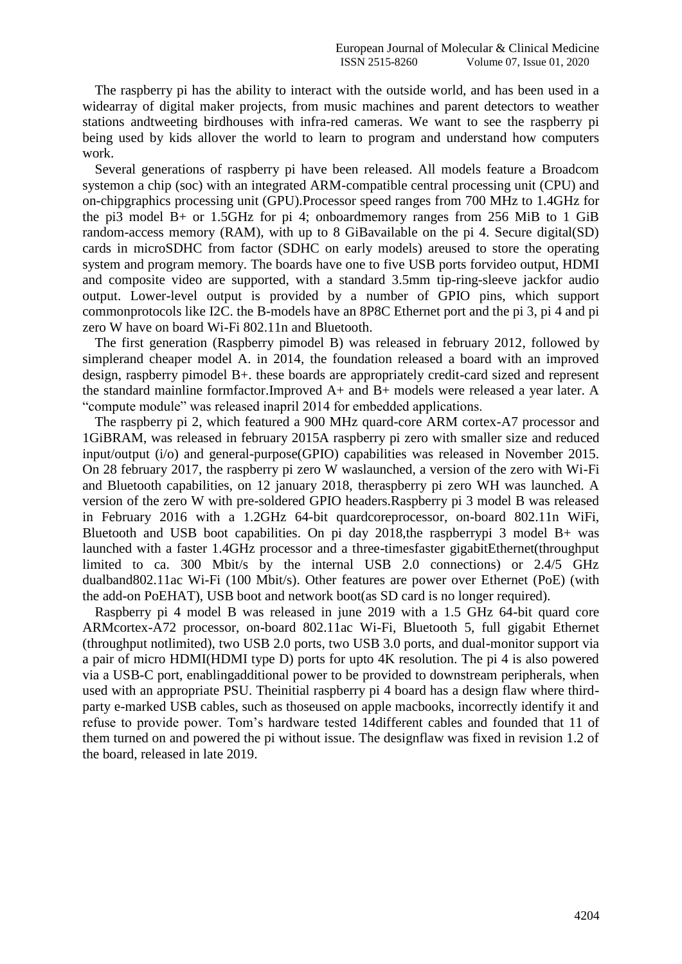The raspberry pi has the ability to interact with the outside world, and has been used in a widearray of digital maker projects, from music machines and parent detectors to weather stations andtweeting birdhouses with infra-red cameras. We want to see the raspberry pi being used by kids allover the world to learn to program and understand how computers work.

Several generations of raspberry pi have been released. All models feature a Broadcom systemon a chip (soc) with an integrated ARM-compatible central processing unit (CPU) and on-chipgraphics processing unit (GPU).Processor speed ranges from 700 MHz to 1.4GHz for the pi3 model B+ or 1.5GHz for pi 4; onboardmemory ranges from 256 MiB to 1 GiB random-access memory (RAM), with up to 8 GiBavailable on the pi 4. Secure digital(SD) cards in microSDHC from factor (SDHC on early models) areused to store the operating system and program memory. The boards have one to five USB ports forvideo output, HDMI and composite video are supported, with a standard 3.5mm tip-ring-sleeve jackfor audio output. Lower-level output is provided by a number of GPIO pins, which support commonprotocols like I2C. the B-models have an 8P8C Ethernet port and the pi 3, pi 4 and pi zero W have on board Wi-Fi 802.11n and Bluetooth.

The first generation (Raspberry pimodel B) was released in february 2012, followed by simplerand cheaper model A. in 2014, the foundation released a board with an improved design, raspberry pimodel B+. these boards are appropriately credit-card sized and represent the standard mainline formfactor.Improved A+ and B+ models were released a year later. A "compute module" was released inapril 2014 for embedded applications.

The raspberry pi 2, which featured a 900 MHz quard-core ARM cortex-A7 processor and 1GiBRAM, was released in february 2015A raspberry pi zero with smaller size and reduced input/output (i/o) and general-purpose(GPIO) capabilities was released in November 2015. On 28 february 2017, the raspberry pi zero W waslaunched, a version of the zero with Wi-Fi and Bluetooth capabilities, on 12 january 2018, theraspberry pi zero WH was launched. A version of the zero W with pre-soldered GPIO headers.Raspberry pi 3 model B was released in February 2016 with a 1.2GHz 64-bit quardcoreprocessor, on-board 802.11n WiFi, Bluetooth and USB boot capabilities. On pi day 2018,the raspberrypi 3 model B+ was launched with a faster 1.4GHz processor and a three-timesfaster gigabitEthernet(throughput limited to ca. 300 Mbit/s by the internal USB 2.0 connections) or 2.4/5 GHz dualband802.11ac Wi-Fi (100 Mbit/s). Other features are power over Ethernet (PoE) (with the add-on PoEHAT), USB boot and network boot(as SD card is no longer required).

Raspberry pi 4 model B was released in june 2019 with a 1.5 GHz 64-bit quard core ARMcortex-A72 processor, on-board 802.11ac Wi-Fi, Bluetooth 5, full gigabit Ethernet (throughput notlimited), two USB 2.0 ports, two USB 3.0 ports, and dual-monitor support via a pair of micro HDMI(HDMI type D) ports for upto 4K resolution. The pi 4 is also powered via a USB-C port, enablingadditional power to be provided to downstream peripherals, when used with an appropriate PSU. Theinitial raspberry pi 4 board has a design flaw where thirdparty e-marked USB cables, such as thoseused on apple macbooks, incorrectly identify it and refuse to provide power. Tom's hardware tested 14different cables and founded that 11 of them turned on and powered the pi without issue. The designflaw was fixed in revision 1.2 of the board, released in late 2019.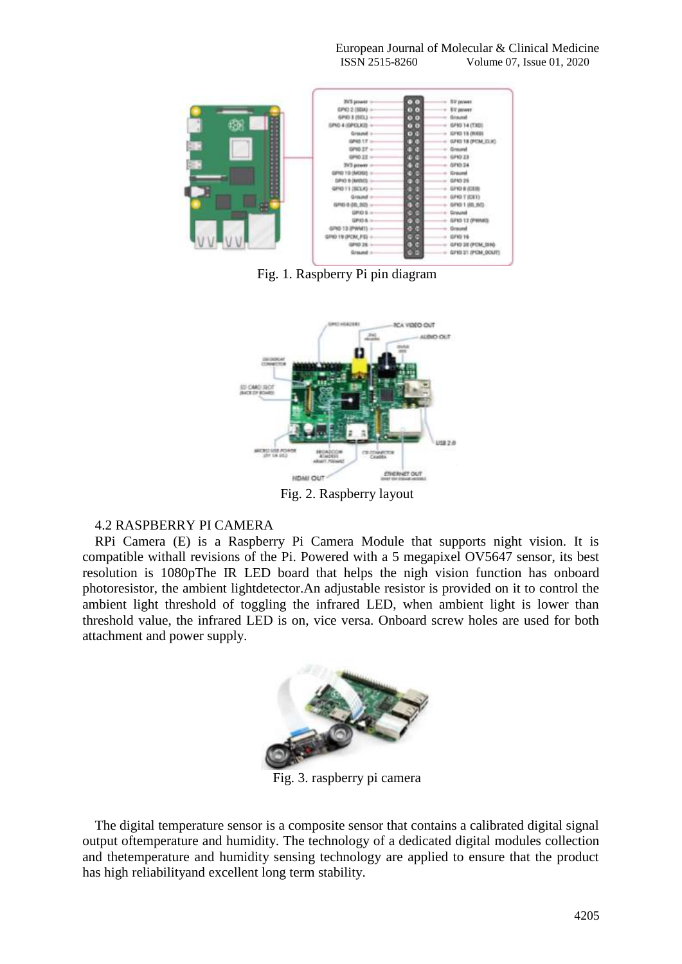European Journal of Molecular & Clinical Medicine ISSN 2515-8260 Volume 07, Issue 01, 2020



Fig. 1. Raspberry Pi pin diagram



Fig. 2. Raspberry layout

## 4.2 RASPBERRY PI CAMERA

RPi Camera (E) is a Raspberry Pi Camera Module that supports night vision. It is compatible withall revisions of the Pi. Powered with a 5 megapixel OV5647 sensor, its best resolution is 1080pThe IR LED board that helps the nigh vision function has onboard photoresistor, the ambient lightdetector.An adjustable resistor is provided on it to control the ambient light threshold of toggling the infrared LED, when ambient light is lower than threshold value, the infrared LED is on, vice versa. Onboard screw holes are used for both attachment and power supply.



Fig. 3. raspberry pi camera

The digital temperature sensor is a composite sensor that contains a calibrated digital signal output oftemperature and humidity. The technology of a dedicated digital modules collection and thetemperature and humidity sensing technology are applied to ensure that the product has high reliabilityand excellent long term stability.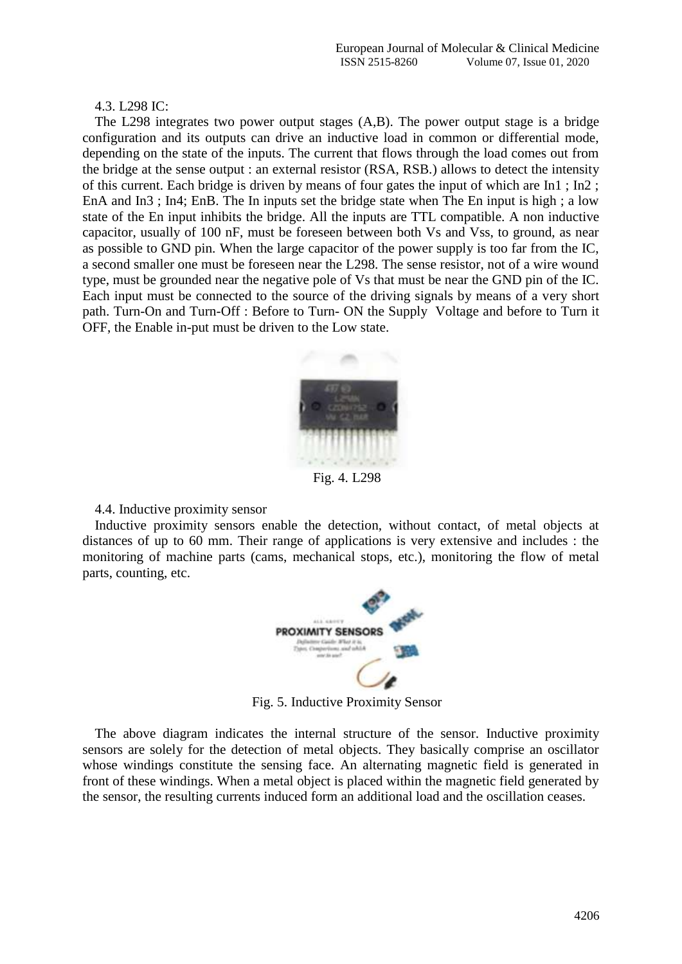4.3. L298 IC:

The L298 integrates two power output stages (A,B). The power output stage is a bridge configuration and its outputs can drive an inductive load in common or differential mode, depending on the state of the inputs. The current that flows through the load comes out from the bridge at the sense output : an external resistor (RSA, RSB.) allows to detect the intensity of this current. Each bridge is driven by means of four gates the input of which are In1 ; In2 ; EnA and In3 ; In4; EnB. The In inputs set the bridge state when The En input is high ; a low state of the En input inhibits the bridge. All the inputs are TTL compatible. A non inductive capacitor, usually of 100 nF, must be foreseen between both Vs and Vss, to ground, as near as possible to GND pin. When the large capacitor of the power supply is too far from the IC, a second smaller one must be foreseen near the L298. The sense resistor, not of a wire wound type, must be grounded near the negative pole of Vs that must be near the GND pin of the IC. Each input must be connected to the source of the driving signals by means of a very short path. Turn-On and Turn-Off : Before to Turn- ON the Supply Voltage and before to Turn it OFF, the Enable in-put must be driven to the Low state.



Fig. 4. L298

4.4. Inductive proximity sensor

Inductive proximity sensors enable the detection, without contact, of metal objects at distances of up to 60 mm. Their range of applications is very extensive and includes : the monitoring of machine parts (cams, mechanical stops, etc.), monitoring the flow of metal parts, counting, etc.



Fig. 5. Inductive Proximity Sensor

The above diagram indicates the internal structure of the sensor. Inductive proximity sensors are solely for the detection of metal objects. They basically comprise an oscillator whose windings constitute the sensing face. An alternating magnetic field is generated in front of these windings. When a metal object is placed within the magnetic field generated by the sensor, the resulting currents induced form an additional load and the oscillation ceases.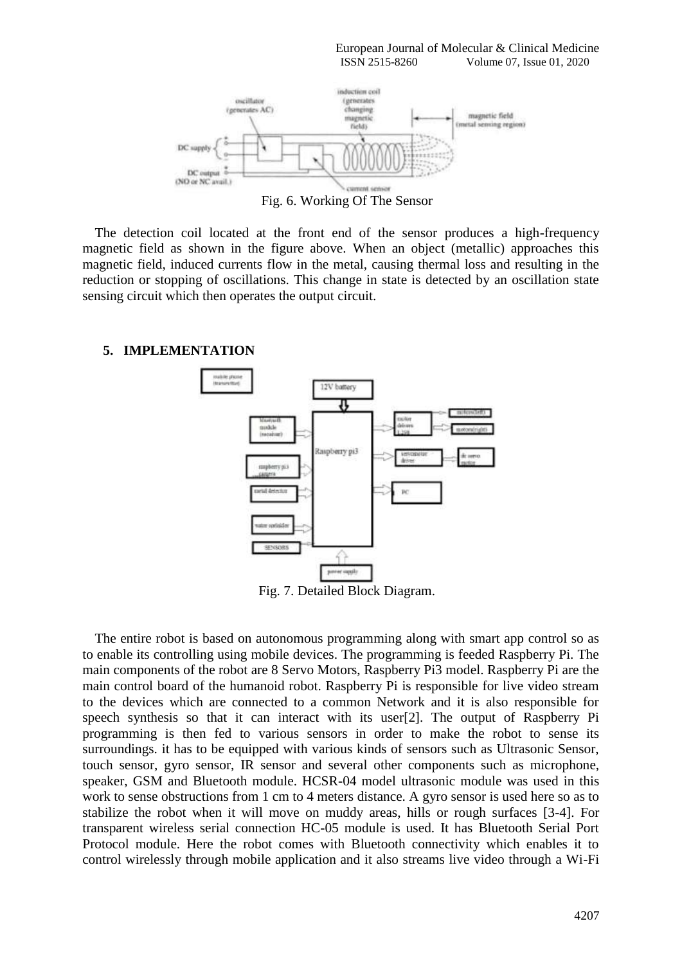

Fig. 6. Working Of The Sensor

The detection coil located at the front end of the sensor produces a high-frequency magnetic field as shown in the figure above. When an object (metallic) approaches this magnetic field, induced currents flow in the metal, causing thermal loss and resulting in the reduction or stopping of oscillations. This change in state is detected by an oscillation state sensing circuit which then operates the output circuit.

## **5. IMPLEMENTATION**



Fig. 7. Detailed Block Diagram.

The entire robot is based on autonomous programming along with smart app control so as to enable its controlling using mobile devices. The programming is feeded Raspberry Pi. The main components of the robot are 8 Servo Motors, Raspberry Pi3 model. Raspberry Pi are the main control board of the humanoid robot. Raspberry Pi is responsible for live video stream to the devices which are connected to a common Network and it is also responsible for speech synthesis so that it can interact with its user[2]. The output of Raspberry Pi programming is then fed to various sensors in order to make the robot to sense its surroundings. it has to be equipped with various kinds of sensors such as Ultrasonic Sensor, touch sensor, gyro sensor, IR sensor and several other components such as microphone, speaker, GSM and Bluetooth module. HCSR-04 model ultrasonic module was used in this work to sense obstructions from 1 cm to 4 meters distance. A gyro sensor is used here so as to stabilize the robot when it will move on muddy areas, hills or rough surfaces [3-4]. For transparent wireless serial connection HC-05 module is used. It has Bluetooth Serial Port Protocol module. Here the robot comes with Bluetooth connectivity which enables it to control wirelessly through mobile application and it also streams live video through a Wi-Fi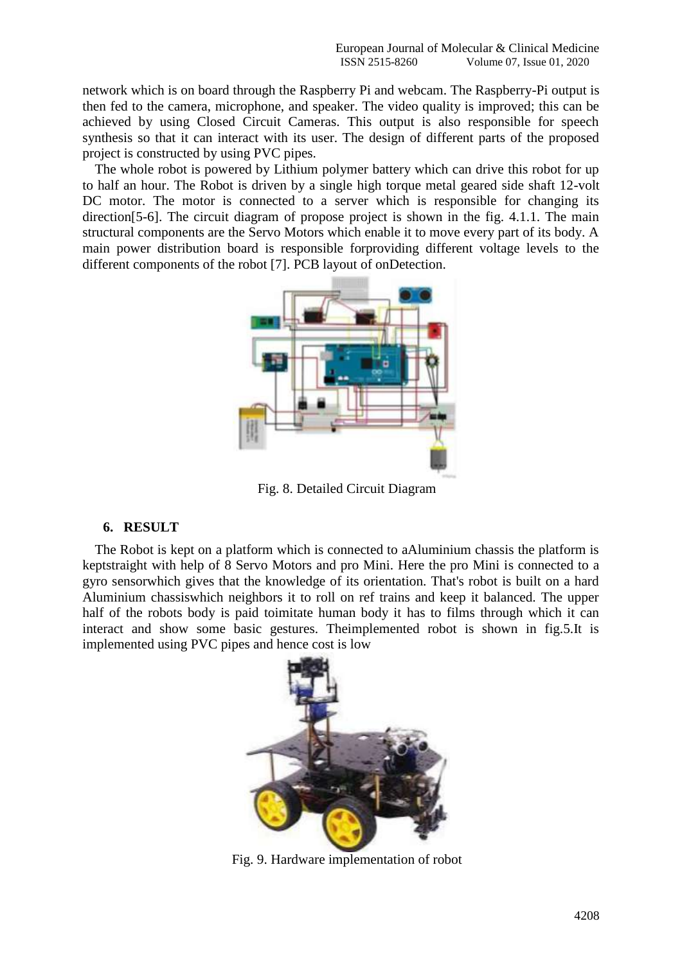network which is on board through the Raspberry Pi and webcam. The Raspberry-Pi output is then fed to the camera, microphone, and speaker. The video quality is improved; this can be achieved by using Closed Circuit Cameras. This output is also responsible for speech synthesis so that it can interact with its user. The design of different parts of the proposed project is constructed by using PVC pipes.

The whole robot is powered by Lithium polymer battery which can drive this robot for up to half an hour. The Robot is driven by a single high torque metal geared side shaft 12-volt DC motor. The motor is connected to a server which is responsible for changing its direction[5-6]. The circuit diagram of propose project is shown in the fig. 4.1.1. The main structural components are the Servo Motors which enable it to move every part of its body. A main power distribution board is responsible forproviding different voltage levels to the different components of the robot [7]. PCB layout of onDetection.



Fig. 8. Detailed Circuit Diagram

## **6. RESULT**

The Robot is kept on a platform which is connected to aAluminium chassis the platform is keptstraight with help of 8 Servo Motors and pro Mini. Here the pro Mini is connected to a gyro sensorwhich gives that the knowledge of its orientation. That's robot is built on a hard Aluminium chassiswhich neighbors it to roll on ref trains and keep it balanced. The upper half of the robots body is paid toimitate human body it has to films through which it can interact and show some basic gestures. Theimplemented robot is shown in fig.5.It is implemented using PVC pipes and hence cost is low



Fig. 9. Hardware implementation of robot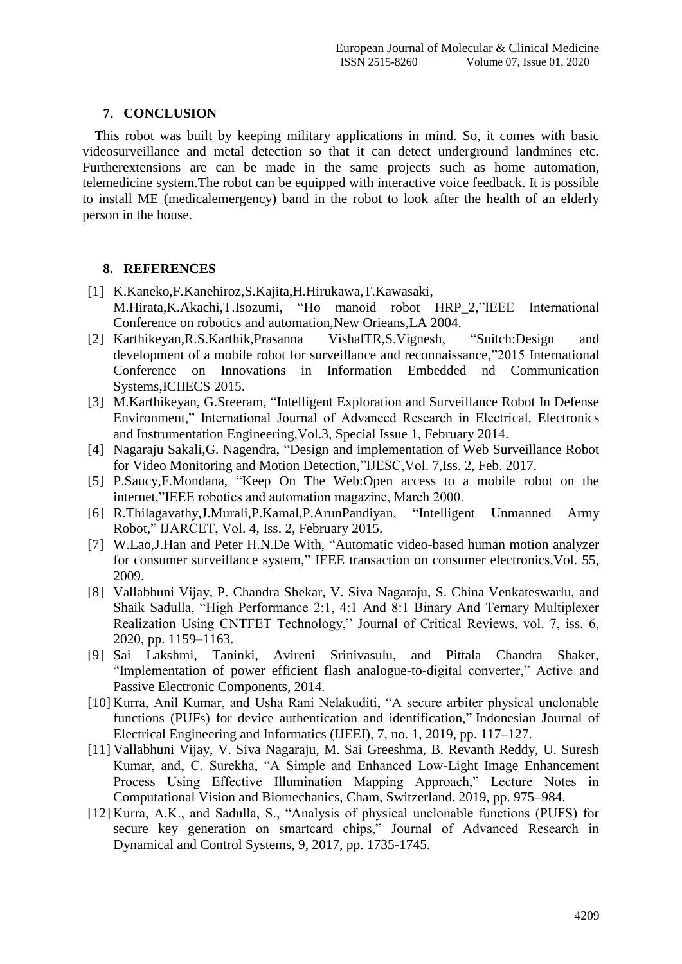## **7. CONCLUSION**

This robot was built by keeping military applications in mind. So, it comes with basic videosurveillance and metal detection so that it can detect underground landmines etc. Furtherextensions are can be made in the same projects such as home automation, telemedicine system.The robot can be equipped with interactive voice feedback. It is possible to install ME (medicalemergency) band in the robot to look after the health of an elderly person in the house.

#### **8. REFERENCES**

- [1] K.Kaneko,F.Kanehiroz,S.Kajita,H.Hirukawa,T.Kawasaki, M.Hirata,K.Akachi,T.Isozumi, "Ho manoid robot HRP\_2,"IEEE International Conference on robotics and automation,New Orieans,LA 2004.
- [2] Karthikeyan,R.S.Karthik,Prasanna VishalTR,S.Vignesh, "Snitch:Design and development of a mobile robot for surveillance and reconnaissance,"2015 International Conference on Innovations in Information Embedded nd Communication Systems,ICIIECS 2015.
- [3] M.Karthikeyan, G.Sreeram, "Intelligent Exploration and Surveillance Robot In Defense Environment," International Journal of Advanced Research in Electrical, Electronics and Instrumentation Engineering,Vol.3, Special Issue 1, February 2014.
- [4] Nagaraju Sakali,G. Nagendra, "Design and implementation of Web Surveillance Robot for Video Monitoring and Motion Detection,"IJESC,Vol. 7,Iss. 2, Feb. 2017.
- [5] P.Saucy,F.Mondana, "Keep On The Web:Open access to a mobile robot on the internet,"IEEE robotics and automation magazine, March 2000.
- [6] R.Thilagavathy,J.Murali,P.Kamal,P.ArunPandiyan, "Intelligent Unmanned Army Robot," IJARCET, Vol. 4, Iss. 2, February 2015.
- [7] W.Lao,J.Han and Peter H.N.De With, "Automatic video-based human motion analyzer for consumer surveillance system," IEEE transaction on consumer electronics,Vol. 55, 2009.
- [8] Vallabhuni Vijay, P. Chandra Shekar, V. Siva Nagaraju, S. China Venkateswarlu, and Shaik Sadulla, "High Performance 2:1, 4:1 And 8:1 Binary And Ternary Multiplexer Realization Using CNTFET Technology," Journal of Critical Reviews, vol. 7, iss. 6, 2020, pp. 1159–1163.
- [9] Sai Lakshmi, Taninki, Avireni Srinivasulu, and Pittala Chandra Shaker, "Implementation of power efficient flash analogue-to-digital converter," Active and Passive Electronic Components, 2014.
- [10] Kurra, Anil Kumar, and Usha Rani Nelakuditi, "A secure arbiter physical unclonable functions (PUFs) for device authentication and identification," Indonesian Journal of Electrical Engineering and Informatics (IJEEI), 7, no. 1, 2019, pp. 117–127.
- [11] Vallabhuni Vijay, V. Siva Nagaraju, M. Sai Greeshma, B. Revanth Reddy, U. Suresh Kumar, and, C. Surekha, "A Simple and Enhanced Low-Light Image Enhancement Process Using Effective Illumination Mapping Approach," Lecture Notes in Computational Vision and Biomechanics, Cham, Switzerland. 2019, pp. 975–984.
- [12] Kurra, A.K., and Sadulla, S., "Analysis of physical unclonable functions (PUFS) for secure key generation on smartcard chips," Journal of Advanced Research in Dynamical and Control Systems, 9, 2017, pp. 1735-1745.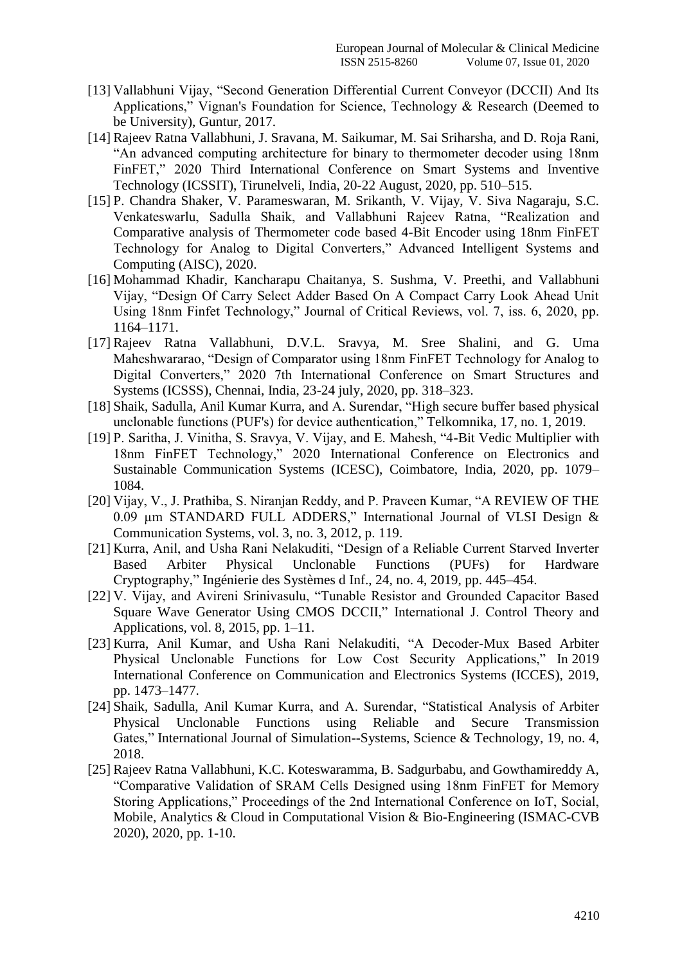- [13] Vallabhuni Vijay, "Second Generation Differential Current Conveyor (DCCII) And Its Applications," Vignan's Foundation for Science, Technology & Research (Deemed to be University), Guntur, 2017.
- [14] Rajeev Ratna Vallabhuni, J. Sravana, M. Saikumar, M. Sai Sriharsha, and D. Roja Rani, "An advanced computing architecture for binary to thermometer decoder using 18nm FinFET," 2020 Third International Conference on Smart Systems and Inventive Technology (ICSSIT), Tirunelveli, India, 20-22 August, 2020, pp. 510–515.
- [15] P. Chandra Shaker, V. Parameswaran, M. Srikanth, V. Vijay, V. Siva Nagaraju, S.C. Venkateswarlu, Sadulla Shaik, and Vallabhuni Rajeev Ratna, "Realization and Comparative analysis of Thermometer code based 4-Bit Encoder using 18nm FinFET Technology for Analog to Digital Converters," Advanced Intelligent Systems and Computing (AISC), 2020.
- [16] Mohammad Khadir, Kancharapu Chaitanya, S. Sushma, V. Preethi, and Vallabhuni Vijay, "Design Of Carry Select Adder Based On A Compact Carry Look Ahead Unit Using 18nm Finfet Technology," Journal of Critical Reviews, vol. 7, iss. 6, 2020, pp. 1164–1171.
- [17] Rajeev Ratna Vallabhuni, D.V.L. Sravya, M. Sree Shalini, and G. Uma Maheshwararao, "Design of Comparator using 18nm FinFET Technology for Analog to Digital Converters," 2020 7th International Conference on Smart Structures and Systems (ICSSS), Chennai, India, 23-24 july, 2020, pp. 318–323.
- [18] Shaik, Sadulla, Anil Kumar Kurra, and A. Surendar, "High secure buffer based physical unclonable functions (PUF's) for device authentication," Telkomnika, 17, no. 1, 2019.
- [19] P. Saritha, J. Vinitha, S. Sravya, V. Vijay, and E. Mahesh, "4-Bit Vedic Multiplier with 18nm FinFET Technology," 2020 International Conference on Electronics and Sustainable Communication Systems (ICESC), Coimbatore, India, 2020, pp. 1079– 1084.
- [20] Vijay, V., J. Prathiba, S. Niranjan Reddy, and P. Praveen Kumar, "A REVIEW OF THE 0.09 µm STANDARD FULL ADDERS," International Journal of VLSI Design & Communication Systems, vol. 3, no. 3, 2012, p. 119.
- [21] Kurra, Anil, and Usha Rani Nelakuditi, "Design of a Reliable Current Starved Inverter Based Arbiter Physical Unclonable Functions (PUFs) for Hardware Cryptography," Ingénierie des Systèmes d Inf., 24, no. 4, 2019, pp. 445–454.
- [22] V. Vijay, and Avireni Srinivasulu, "Tunable Resistor and Grounded Capacitor Based Square Wave Generator Using CMOS DCCII," International J. Control Theory and Applications, vol. 8, 2015, pp. 1–11.
- [23] Kurra, Anil Kumar, and Usha Rani Nelakuditi, "A Decoder-Mux Based Arbiter Physical Unclonable Functions for Low Cost Security Applications," In 2019 International Conference on Communication and Electronics Systems (ICCES), 2019, pp. 1473–1477.
- [24] Shaik, Sadulla, Anil Kumar Kurra, and A. Surendar, "Statistical Analysis of Arbiter Physical Unclonable Functions using Reliable and Secure Transmission Gates," International Journal of Simulation--Systems, Science & Technology, 19, no. 4, 2018.
- [25] Rajeev Ratna Vallabhuni, K.C. Koteswaramma, B. Sadgurbabu, and Gowthamireddy A, "Comparative Validation of SRAM Cells Designed using 18nm FinFET for Memory Storing Applications," Proceedings of the 2nd International Conference on IoT, Social, Mobile, Analytics & Cloud in Computational Vision & Bio-Engineering (ISMAC-CVB 2020), 2020, pp. 1-10.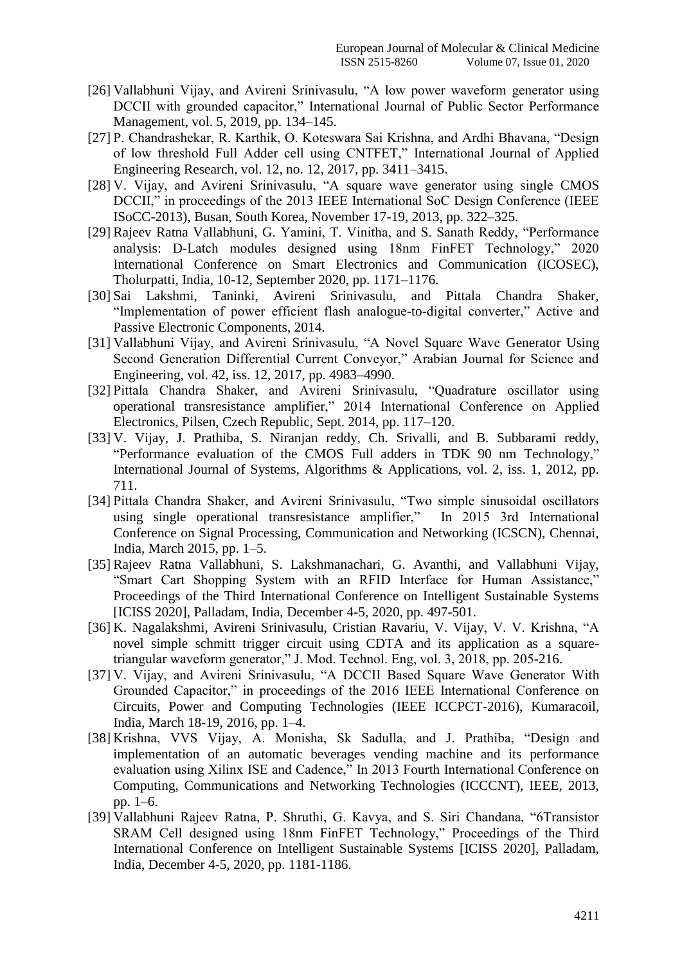- [26] Vallabhuni Vijay, and Avireni Srinivasulu, "A low power waveform generator using DCCII with grounded capacitor," International Journal of Public Sector Performance Management, vol. 5, 2019, pp. 134–145.
- [27] P. Chandrashekar, R. Karthik, O. Koteswara Sai Krishna, and Ardhi Bhavana, "Design of low threshold Full Adder cell using CNTFET," International Journal of Applied Engineering Research, vol. 12, no. 12, 2017, pp. 3411–3415.
- [28] V. Vijay, and Avireni Srinivasulu, "A square wave generator using single CMOS DCCII," in proceedings of the 2013 IEEE International SoC Design Conference (IEEE ISoCC-2013), Busan, South Korea, November 17-19, 2013, pp. 322–325.
- [29] Rajeev Ratna Vallabhuni, G. Yamini, T. Vinitha, and S. Sanath Reddy, "Performance analysis: D-Latch modules designed using 18nm FinFET Technology," 2020 International Conference on Smart Electronics and Communication (ICOSEC), Tholurpatti, India, 10-12, September 2020, pp. 1171–1176.
- [30] Sai Lakshmi, Taninki, Avireni Srinivasulu, and Pittala Chandra Shaker, "Implementation of power efficient flash analogue-to-digital converter," Active and Passive Electronic Components, 2014.
- [31] Vallabhuni Vijay, and Avireni Srinivasulu, "A Novel Square Wave Generator Using Second Generation Differential Current Conveyor," Arabian Journal for Science and Engineering, vol. 42, iss. 12, 2017, pp. 4983–4990.
- [32] Pittala Chandra Shaker, and Avireni Srinivasulu, "Quadrature oscillator using operational transresistance amplifier," 2014 International Conference on Applied Electronics, Pilsen, Czech Republic, Sept. 2014, pp. 117–120.
- [33] V. Vijay, J. Prathiba, S. Niranjan reddy, Ch. Srivalli, and B. Subbarami reddy, "Performance evaluation of the CMOS Full adders in TDK 90 nm Technology," International Journal of Systems, Algorithms & Applications, vol. 2, iss. 1, 2012, pp. 711.
- [34] Pittala Chandra Shaker, and Avireni Srinivasulu, "Two simple sinusoidal oscillators using single operational transresistance amplifier," In 2015 3rd International Conference on Signal Processing, Communication and Networking (ICSCN), Chennai, India, March 2015, pp. 1–5.
- [35] Rajeev Ratna Vallabhuni, S. Lakshmanachari, G. Avanthi, and Vallabhuni Vijay, "Smart Cart Shopping System with an RFID Interface for Human Assistance," Proceedings of the Third International Conference on Intelligent Sustainable Systems [ICISS 2020], Palladam, India, December 4-5, 2020, pp. 497-501.
- [36] K. Nagalakshmi, Avireni Srinivasulu, Cristian Ravariu, V. Vijay, V. V. Krishna, "A novel simple schmitt trigger circuit using CDTA and its application as a squaretriangular waveform generator," J. Mod. Technol. Eng, vol. 3, 2018, pp. 205-216.
- [37] V. Vijay, and Avireni Srinivasulu, "A DCCII Based Square Wave Generator With Grounded Capacitor," in proceedings of the 2016 IEEE International Conference on Circuits, Power and Computing Technologies (IEEE ICCPCT-2016), Kumaracoil, India, March 18-19, 2016, pp. 1–4.
- [38] Krishna, VVS Vijay, A. Monisha, Sk Sadulla, and J. Prathiba, "Design and implementation of an automatic beverages vending machine and its performance evaluation using Xilinx ISE and Cadence," In 2013 Fourth International Conference on Computing, Communications and Networking Technologies (ICCCNT), IEEE, 2013, pp. 1–6.
- [39] Vallabhuni Rajeev Ratna, P. Shruthi, G. Kavya, and S. Siri Chandana, "6Transistor SRAM Cell designed using 18nm FinFET Technology," Proceedings of the Third International Conference on Intelligent Sustainable Systems [ICISS 2020], Palladam, India, December 4-5, 2020, pp. 1181-1186.